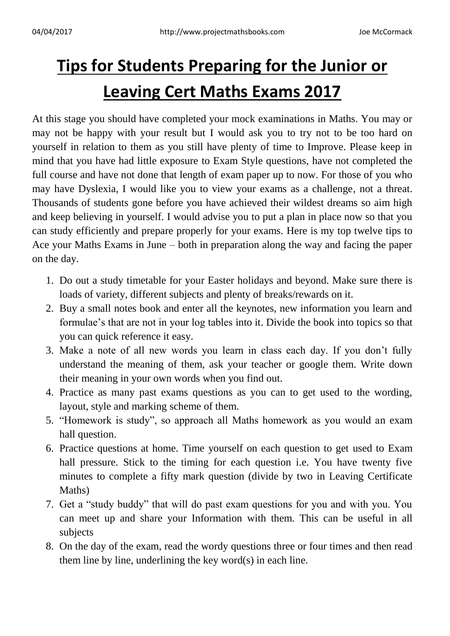## **Tips for Students Preparing for the Junior or Leaving Cert Maths Exams 2017**

At this stage you should have completed your mock examinations in Maths. You may or may not be happy with your result but I would ask you to try not to be too hard on yourself in relation to them as you still have plenty of time to Improve. Please keep in mind that you have had little exposure to Exam Style questions, have not completed the full course and have not done that length of exam paper up to now. For those of you who may have Dyslexia, I would like you to view your exams as a challenge, not a threat. Thousands of students gone before you have achieved their wildest dreams so aim high and keep believing in yourself. I would advise you to put a plan in place now so that you can study efficiently and prepare properly for your exams. Here is my top twelve tips to Ace your Maths Exams in June – both in preparation along the way and facing the paper on the day.

- 1. Do out a study timetable for your Easter holidays and beyond. Make sure there is loads of variety, different subjects and plenty of breaks/rewards on it.
- 2. Buy a small notes book and enter all the keynotes, new information you learn and formulae's that are not in your log tables into it. Divide the book into topics so that you can quick reference it easy.
- 3. Make a note of all new words you learn in class each day. If you don't fully understand the meaning of them, ask your teacher or google them. Write down their meaning in your own words when you find out.
- 4. Practice as many past exams questions as you can to get used to the wording, layout, style and marking scheme of them.
- 5. "Homework is study", so approach all Maths homework as you would an exam hall question.
- 6. Practice questions at home. Time yourself on each question to get used to Exam hall pressure. Stick to the timing for each question i.e. You have twenty five minutes to complete a fifty mark question (divide by two in Leaving Certificate Maths)
- 7. Get a "study buddy" that will do past exam questions for you and with you. You can meet up and share your Information with them. This can be useful in all subjects
- 8. On the day of the exam, read the wordy questions three or four times and then read them line by line, underlining the key word(s) in each line.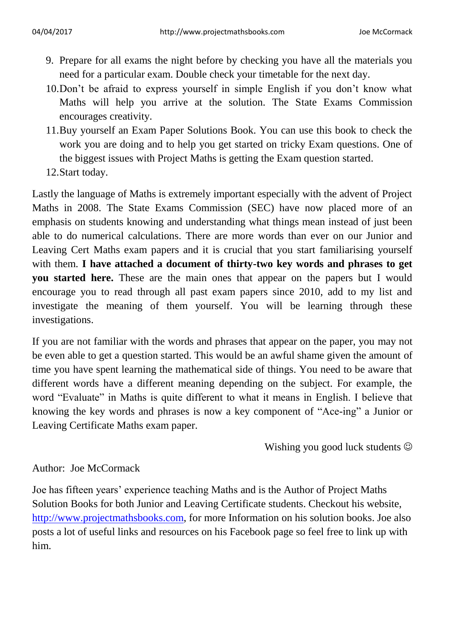- 9. Prepare for all exams the night before by checking you have all the materials you need for a particular exam. Double check your timetable for the next day.
- 10.Don't be afraid to express yourself in simple English if you don't know what Maths will help you arrive at the solution. The State Exams Commission encourages creativity.
- 11.Buy yourself an Exam Paper Solutions Book. You can use this book to check the work you are doing and to help you get started on tricky Exam questions. One of the biggest issues with Project Maths is getting the Exam question started.
- 12.Start today.

Lastly the language of Maths is extremely important especially with the advent of Project Maths in 2008. The State Exams Commission (SEC) have now placed more of an emphasis on students knowing and understanding what things mean instead of just been able to do numerical calculations. There are more words than ever on our Junior and Leaving Cert Maths exam papers and it is crucial that you start familiarising yourself with them. **I have attached a document of thirty-two key words and phrases to get you started here.** These are the main ones that appear on the papers but I would encourage you to read through all past exam papers since 2010, add to my list and investigate the meaning of them yourself. You will be learning through these investigations.

If you are not familiar with the words and phrases that appear on the paper, you may not be even able to get a question started. This would be an awful shame given the amount of time you have spent learning the mathematical side of things. You need to be aware that different words have a different meaning depending on the subject. For example, the word "Evaluate" in Maths is quite different to what it means in English. I believe that knowing the key words and phrases is now a key component of "Ace-ing" a Junior or Leaving Certificate Maths exam paper.

Wishing you good luck students  $\odot$ 

## Author: Joe McCormack

Joe has fifteen years' experience teaching Maths and is the Author of Project Maths Solution Books for both Junior and Leaving Certificate students. Checkout his website, [http://www.projectmathsbooks.com,](http://www.projectmathsbooks.com/) for more Information on his solution books. Joe also posts a lot of useful links and resources on his Facebook page so feel free to link up with him.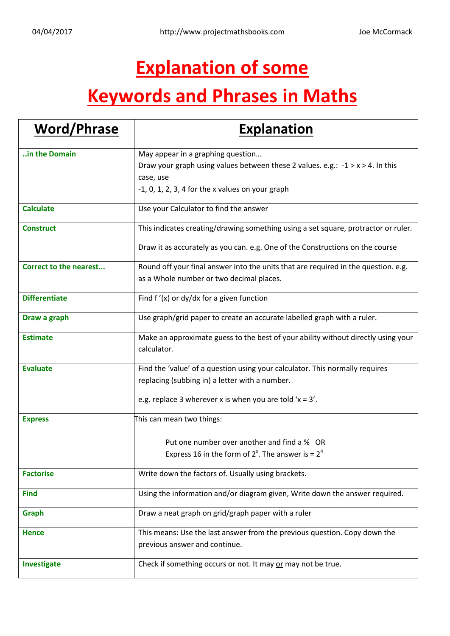## **Explanation of some**

## **Keywords and Phrases in Maths**

| <b>Word/Phrase</b>            | <b>Explanation</b>                                                                 |
|-------------------------------|------------------------------------------------------------------------------------|
| in the Domain                 | May appear in a graphing question                                                  |
|                               | Draw your graph using values between these 2 values. e.g.: $-1 > x > 4$ . In this  |
|                               | case, use                                                                          |
|                               | $-1$ , 0, 1, 2, 3, 4 for the x values on your graph                                |
| <b>Calculate</b>              | Use your Calculator to find the answer                                             |
| <b>Construct</b>              | This indicates creating/drawing something using a set square, protractor or ruler. |
|                               | Draw it as accurately as you can. e.g. One of the Constructions on the course      |
| <b>Correct to the nearest</b> | Round off your final answer into the units that are required in the question. e.g. |
|                               | as a Whole number or two decimal places.                                           |
| <b>Differentiate</b>          | Find $f'(x)$ or dy/dx for a given function                                         |
| Draw a graph                  | Use graph/grid paper to create an accurate labelled graph with a ruler.            |
| <b>Estimate</b>               | Make an approximate guess to the best of your ability without directly using your  |
|                               | calculator.                                                                        |
| <b>Evaluate</b>               | Find the 'value' of a question using your calculator. This normally requires       |
|                               | replacing (subbing in) a letter with a number.                                     |
|                               | e.g. replace 3 wherever x is when you are told ' $x = 3'$ .                        |
| <b>Express</b>                | This can mean two things:                                                          |
|                               | Put one number over another and find a % OR                                        |
|                               | Express 16 in the form of $2^x$ . The answer is = $2^4$                            |
|                               |                                                                                    |
| <b>Factorise</b>              | Write down the factors of. Usually using brackets.                                 |
| <b>Find</b>                   | Using the information and/or diagram given, Write down the answer required.        |
| Graph                         | Draw a neat graph on grid/graph paper with a ruler                                 |
| <b>Hence</b>                  | This means: Use the last answer from the previous question. Copy down the          |
|                               | previous answer and continue.                                                      |
| Investigate                   | Check if something occurs or not. It may or may not be true.                       |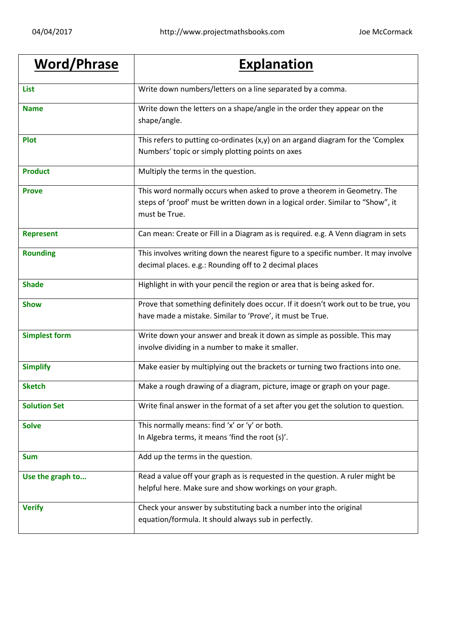| <b>Word/Phrase</b>   | <b>Explanation</b>                                                                                                                                                           |
|----------------------|------------------------------------------------------------------------------------------------------------------------------------------------------------------------------|
| <b>List</b>          | Write down numbers/letters on a line separated by a comma.                                                                                                                   |
| <b>Name</b>          | Write down the letters on a shape/angle in the order they appear on the<br>shape/angle.                                                                                      |
| <b>Plot</b>          | This refers to putting co-ordinates $(x,y)$ on an argand diagram for the 'Complex<br>Numbers' topic or simply plotting points on axes                                        |
| <b>Product</b>       | Multiply the terms in the question.                                                                                                                                          |
| <b>Prove</b>         | This word normally occurs when asked to prove a theorem in Geometry. The<br>steps of 'proof' must be written down in a logical order. Similar to "Show", it<br>must be True. |
| <b>Represent</b>     | Can mean: Create or Fill in a Diagram as is required. e.g. A Venn diagram in sets                                                                                            |
| <b>Rounding</b>      | This involves writing down the nearest figure to a specific number. It may involve<br>decimal places. e.g.: Rounding off to 2 decimal places                                 |
| <b>Shade</b>         | Highlight in with your pencil the region or area that is being asked for.                                                                                                    |
| <b>Show</b>          | Prove that something definitely does occur. If it doesn't work out to be true, you<br>have made a mistake. Similar to 'Prove', it must be True.                              |
| <b>Simplest form</b> | Write down your answer and break it down as simple as possible. This may<br>involve dividing in a number to make it smaller.                                                 |
| <b>Simplify</b>      | Make easier by multiplying out the brackets or turning two fractions into one.                                                                                               |
| <b>Sketch</b>        | Make a rough drawing of a diagram, picture, image or graph on your page.                                                                                                     |
| <b>Solution Set</b>  | Write final answer in the format of a set after you get the solution to question.                                                                                            |
| <b>Solve</b>         | This normally means: find 'x' or 'y' or both.<br>In Algebra terms, it means 'find the root (s)'.                                                                             |
| <b>Sum</b>           | Add up the terms in the question.                                                                                                                                            |
| Use the graph to     | Read a value off your graph as is requested in the question. A ruler might be<br>helpful here. Make sure and show workings on your graph.                                    |
| <b>Verify</b>        | Check your answer by substituting back a number into the original<br>equation/formula. It should always sub in perfectly.                                                    |